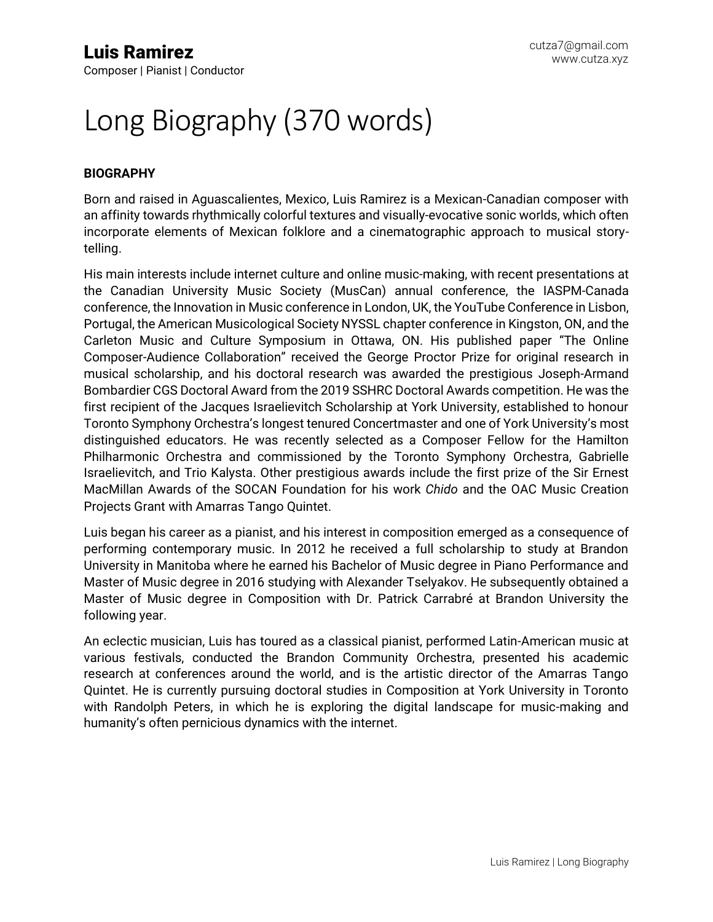# Long Biography (370 words)

### **BIOGRAPHY**

Born and raised in Aguascalientes, Mexico, Luis Ramirez is a Mexican-Canadian composer with an affinity towards rhythmically colorful textures and visually-evocative sonic worlds, which often incorporate elements of Mexican folklore and a cinematographic approach to musical storytelling.

His main interests include internet culture and online music-making, with recent presentations at the Canadian University Music Society (MusCan) annual conference, the IASPM-Canada conference, the Innovation in Music conference in London, UK, the YouTube Conference in Lisbon, Portugal, the American Musicological Society NYSSL chapter conference in Kingston, ON, and the Carleton Music and Culture Symposium in Ottawa, ON. His published paper "The Online Composer-Audience Collaboration" received the George Proctor Prize for original research in musical scholarship, and his doctoral research was awarded the prestigious Joseph-Armand Bombardier CGS Doctoral Award from the 2019 SSHRC Doctoral Awards competition. He was the first recipient of the Jacques Israelievitch Scholarship at York University, established to honour Toronto Symphony Orchestra's longest tenured Concertmaster and one of York University's most distinguished educators. He was recently selected as a Composer Fellow for the Hamilton Philharmonic Orchestra and commissioned by the Toronto Symphony Orchestra, Gabrielle Israelievitch, and Trio Kalysta. Other prestigious awards include the first prize of the Sir Ernest MacMillan Awards of the SOCAN Foundation for his work *Chido* and the OAC Music Creation Projects Grant with Amarras Tango Quintet.

Luis began his career as a pianist, and his interest in composition emerged as a consequence of performing contemporary music. In 2012 he received a full scholarship to study at Brandon University in Manitoba where he earned his Bachelor of Music degree in Piano Performance and Master of Music degree in 2016 studying with Alexander Tselyakov. He subsequently obtained a Master of Music degree in Composition with Dr. Patrick Carrabré at Brandon University the following year.

An eclectic musician, Luis has toured as a classical pianist, performed Latin-American music at various festivals, conducted the Brandon Community Orchestra, presented his academic research at conferences around the world, and is the artistic director of the Amarras Tango Quintet. He is currently pursuing doctoral studies in Composition at York University in Toronto with Randolph Peters, in which he is exploring the digital landscape for music-making and humanity's often pernicious dynamics with the internet.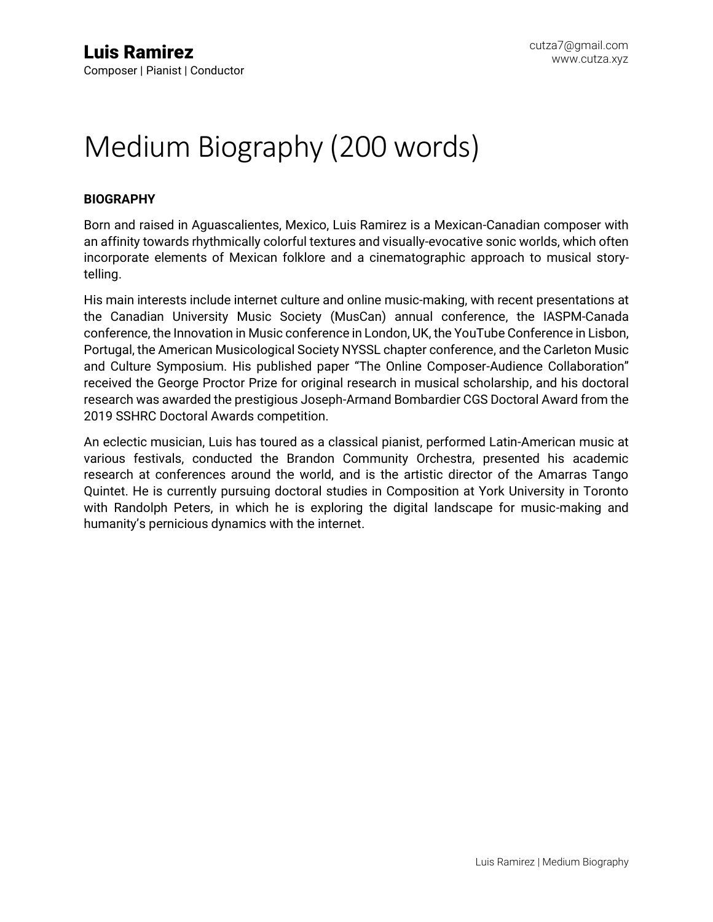## Medium Biography (200 words)

### **BIOGRAPHY**

Born and raised in Aguascalientes, Mexico, Luis Ramirez is a Mexican-Canadian composer with an affinity towards rhythmically colorful textures and visually-evocative sonic worlds, which often incorporate elements of Mexican folklore and a cinematographic approach to musical storytelling.

His main interests include internet culture and online music-making, with recent presentations at the Canadian University Music Society (MusCan) annual conference, the IASPM-Canada conference, the Innovation in Music conference in London, UK, the YouTube Conference in Lisbon, Portugal, the American Musicological Society NYSSL chapter conference, and the Carleton Music and Culture Symposium. His published paper "The Online Composer-Audience Collaboration" received the George Proctor Prize for original research in musical scholarship, and his doctoral research was awarded the prestigious Joseph-Armand Bombardier CGS Doctoral Award from the 2019 SSHRC Doctoral Awards competition.

An eclectic musician, Luis has toured as a classical pianist, performed Latin-American music at various festivals, conducted the Brandon Community Orchestra, presented his academic research at conferences around the world, and is the artistic director of the Amarras Tango Quintet. He is currently pursuing doctoral studies in Composition at York University in Toronto with Randolph Peters, in which he is exploring the digital landscape for music-making and humanity's pernicious dynamics with the internet.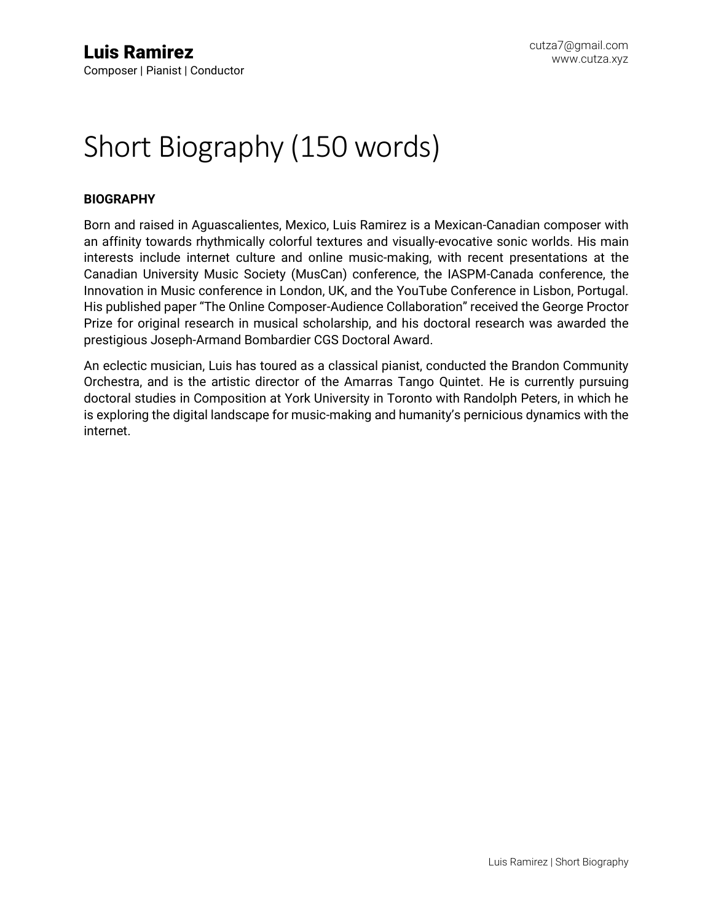### Short Biography (150 words)

### **BIOGRAPHY**

Born and raised in Aguascalientes, Mexico, Luis Ramirez is a Mexican-Canadian composer with an affinity towards rhythmically colorful textures and visually-evocative sonic worlds. His main interests include internet culture and online music-making, with recent presentations at the Canadian University Music Society (MusCan) conference, the IASPM-Canada conference, the Innovation in Music conference in London, UK, and the YouTube Conference in Lisbon, Portugal. His published paper "The Online Composer-Audience Collaboration" received the George Proctor Prize for original research in musical scholarship, and his doctoral research was awarded the prestigious Joseph-Armand Bombardier CGS Doctoral Award.

An eclectic musician, Luis has toured as a classical pianist, conducted the Brandon Community Orchestra, and is the artistic director of the Amarras Tango Quintet. He is currently pursuing doctoral studies in Composition at York University in Toronto with Randolph Peters, in which he is exploring the digital landscape for music-making and humanity's pernicious dynamics with the internet.